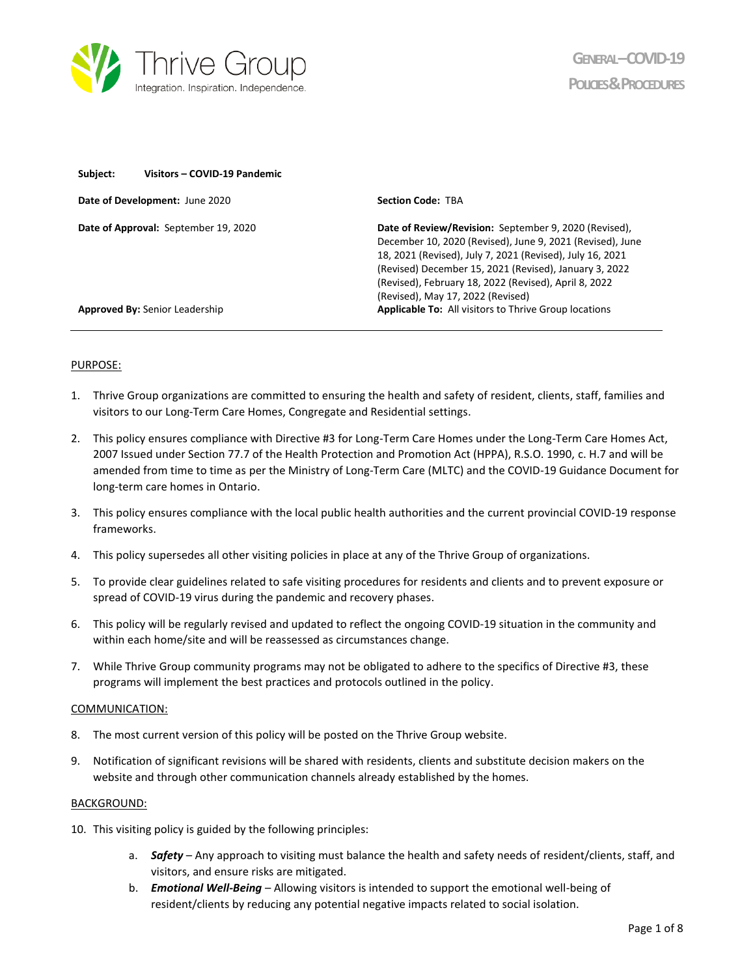

| Subject:                              | Visitors - COVID-19 Pandemic         |                                                                                                                                                                                                                                                                                                                                         |  |
|---------------------------------------|--------------------------------------|-----------------------------------------------------------------------------------------------------------------------------------------------------------------------------------------------------------------------------------------------------------------------------------------------------------------------------------------|--|
| Date of Development: June 2020        |                                      | <b>Section Code: TRA</b>                                                                                                                                                                                                                                                                                                                |  |
|                                       | Date of Approval: September 19, 2020 | Date of Review/Revision: September 9, 2020 (Revised),<br>December 10, 2020 (Revised), June 9, 2021 (Revised), June<br>18, 2021 (Revised), July 7, 2021 (Revised), July 16, 2021<br>(Revised) December 15, 2021 (Revised), January 3, 2022<br>(Revised), February 18, 2022 (Revised), April 8, 2022<br>(Revised), May 17, 2022 (Revised) |  |
| <b>Approved By: Senior Leadership</b> |                                      | <b>Applicable To:</b> All visitors to Thrive Group locations                                                                                                                                                                                                                                                                            |  |
|                                       |                                      |                                                                                                                                                                                                                                                                                                                                         |  |

### PURPOSE:

- 1. Thrive Group organizations are committed to ensuring the health and safety of resident, clients, staff, families and visitors to our Long-Term Care Homes, Congregate and Residential settings.
- 2. This policy ensures compliance with Directive #3 for Long-Term Care Homes under the Long-Term Care Homes Act, 2007 Issued under Section 77.7 of the Health Protection and Promotion Act (HPPA), R.S.O. 1990, c. H.7 and will be amended from time to time as per the Ministry of Long-Term Care (MLTC) and the COVID-19 Guidance Document for long-term care homes in Ontario.
- 3. This policy ensures compliance with the local public health authorities and the current provincial COVID-19 response frameworks.
- 4. This policy supersedes all other visiting policies in place at any of the Thrive Group of organizations.
- 5. To provide clear guidelines related to safe visiting procedures for residents and clients and to prevent exposure or spread of COVID-19 virus during the pandemic and recovery phases.
- 6. This policy will be regularly revised and updated to reflect the ongoing COVID-19 situation in the community and within each home/site and will be reassessed as circumstances change.
- 7. While Thrive Group community programs may not be obligated to adhere to the specifics of Directive #3, these programs will implement the best practices and protocols outlined in the policy.

### COMMUNICATION:

- 8. The most current version of this policy will be posted on the Thrive Group website.
- 9. Notification of significant revisions will be shared with residents, clients and substitute decision makers on the website and through other communication channels already established by the homes.

#### BACKGROUND:

- 10. This visiting policy is guided by the following principles:
	- a. *Safety* Any approach to visiting must balance the health and safety needs of resident/clients, staff, and visitors, and ensure risks are mitigated.
	- b. *Emotional Well-Being* Allowing visitors is intended to support the emotional well-being of resident/clients by reducing any potential negative impacts related to social isolation.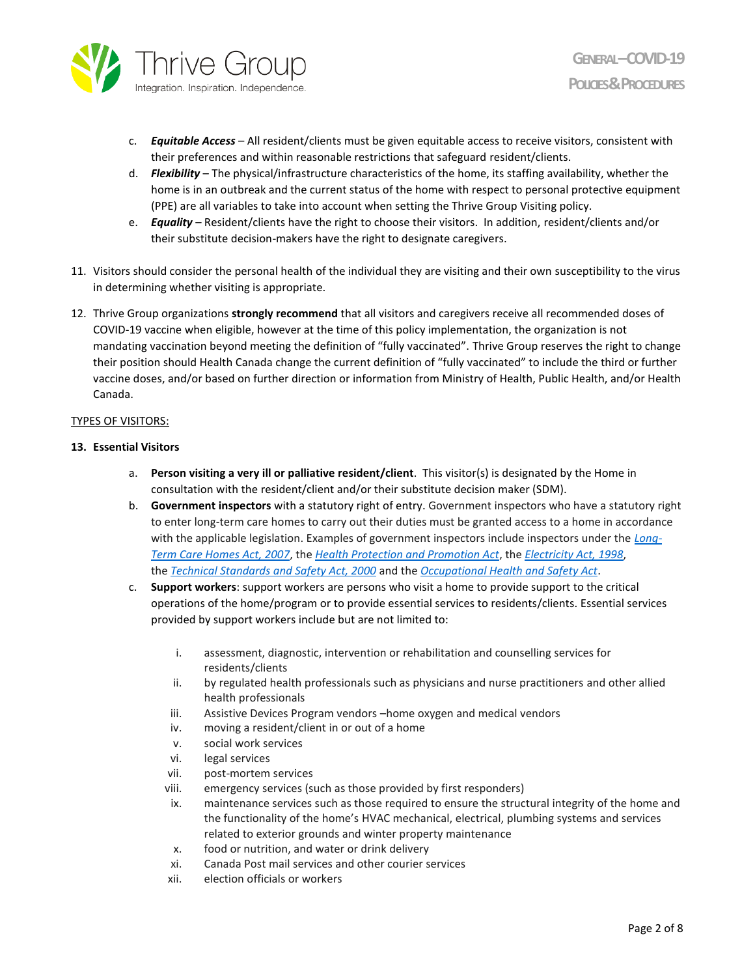

- c. *Equitable Access* All resident/clients must be given equitable access to receive visitors, consistent with their preferences and within reasonable restrictions that safeguard resident/clients.
- d. *Flexibility* The physical/infrastructure characteristics of the home, its staffing availability, whether the home is in an outbreak and the current status of the home with respect to personal protective equipment (PPE) are all variables to take into account when setting the Thrive Group Visiting policy.
- e. *Equality* Resident/clients have the right to choose their visitors. In addition, resident/clients and/or their substitute decision-makers have the right to designate caregivers.
- 11. Visitors should consider the personal health of the individual they are visiting and their own susceptibility to the virus in determining whether visiting is appropriate.
- 12. Thrive Group organizations **strongly recommend** that all visitors and caregivers receive all recommended doses of COVID-19 vaccine when eligible, however at the time of this policy implementation, the organization is not mandating vaccination beyond meeting the definition of "fully vaccinated". Thrive Group reserves the right to change their position should Health Canada change the current definition of "fully vaccinated" to include the third or further vaccine doses, and/or based on further direction or information from Ministry of Health, Public Health, and/or Health Canada.

# TYPES OF VISITORS:

## **13. Essential Visitors**

- a. **Person visiting a very ill or palliative resident/client**. This visitor(s) is designated by the Home in consultation with the resident/client and/or their substitute decision maker (SDM).
- b. **Government inspectors** with a statutory right of entry. Government inspectors who have a statutory right to enter long-term care homes to carry out their duties must be granted access to a home in accordance with the applicable legislation. Examples of government inspectors include inspectors under the *[Long-](https://www.ontario.ca/laws/statute/07l08)[Term Care Homes Act, 2007](https://www.ontario.ca/laws/statute/07l08)*, the *[Health Protection and Promotion Act](https://www.ontario.ca/laws/statute/07l08)*, the *[Electricity Act, 1998](https://www.ontario.ca/laws/statute/98e15)*, the *[Technical Standards and Safety Act, 2000](https://www.ontario.ca/laws/statute/00t16)* and the *[Occupational Health and Safety Act](https://www.ontario.ca/laws/statute/90o01)*.
- c. **Support workers**: support workers are persons who visit a home to provide support to the critical operations of the home/program or to provide essential services to residents/clients. Essential services provided by support workers include but are not limited to:
	- i. assessment, diagnostic, intervention or rehabilitation and counselling services for residents/clients
	- ii. by regulated health professionals such as physicians and nurse practitioners and other allied health professionals
	- iii. Assistive Devices Program vendors –home oxygen and medical vendors
	- iv. moving a resident/client in or out of a home
	- v. social work services
	- vi. legal services
	- vii. post-mortem services
	- viii. emergency services (such as those provided by first responders)
	- ix. maintenance services such as those required to ensure the structural integrity of the home and the functionality of the home's HVAC mechanical, electrical, plumbing systems and services related to exterior grounds and winter property maintenance
	- x. food or nutrition, and water or drink delivery
	- xi. Canada Post mail services and other courier services
	- xii. election officials or workers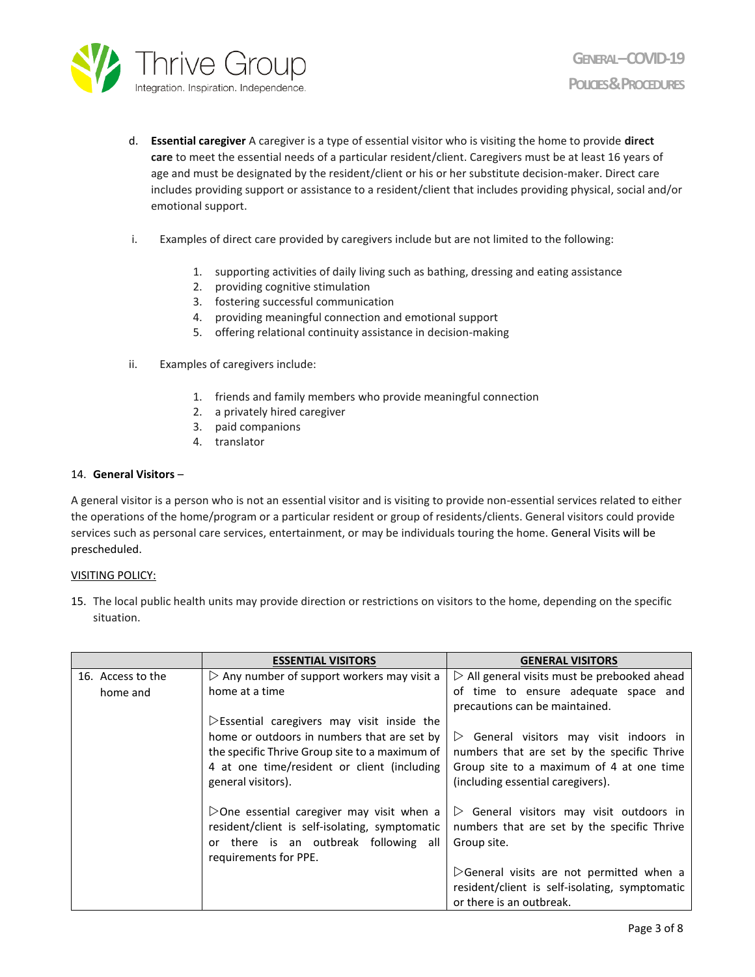

- d. **Essential caregiver** A caregiver is a type of essential visitor who is visiting the home to provide **direct care** to meet the essential needs of a particular resident/client. Caregivers must be at least 16 years of age and must be designated by the resident/client or his or her substitute decision-maker. Direct care includes providing support or assistance to a resident/client that includes providing physical, social and/or emotional support.
- i. Examples of direct care provided by caregivers include but are not limited to the following:
	- 1. supporting activities of daily living such as bathing, dressing and eating assistance
	- 2. providing cognitive stimulation
	- 3. fostering successful communication
	- 4. providing meaningful connection and emotional support
	- 5. offering relational continuity assistance in decision-making
- ii. Examples of caregivers include:
	- 1. friends and family members who provide meaningful connection
	- 2. a privately hired caregiver
	- 3. paid companions
	- 4. translator

## 14. **General Visitors** –

A general visitor is a person who is not an essential visitor and is visiting to provide non-essential services related to either the operations of the home/program or a particular resident or group of residents/clients. General visitors could provide services such as personal care services, entertainment, or may be individuals touring the home. General Visits will be prescheduled.

### VISITING POLICY:

15. The local public health units may provide direction or restrictions on visitors to the home, depending on the specific situation.

|                   | <b>ESSENTIAL VISITORS</b>                                  | <b>GENERAL VISITORS</b>                                     |
|-------------------|------------------------------------------------------------|-------------------------------------------------------------|
| 16. Access to the | $\triangleright$ Any number of support workers may visit a | $\triangleright$ All general visits must be prebooked ahead |
| home and          | home at a time                                             | of time to ensure adequate space and                        |
|                   |                                                            | precautions can be maintained.                              |
|                   | $\triangleright$ Essential caregivers may visit inside the |                                                             |
|                   | home or outdoors in numbers that are set by                | $\triangleright$ General visitors may visit indoors in      |
|                   | the specific Thrive Group site to a maximum of             | numbers that are set by the specific Thrive                 |
|                   | 4 at one time/resident or client (including                | Group site to a maximum of 4 at one time                    |
|                   | general visitors).                                         | (including essential caregivers).                           |
|                   |                                                            |                                                             |
|                   | $\triangleright$ One essential caregiver may visit when a  | $\triangleright$ General visitors may visit outdoors in     |
|                   | resident/client is self-isolating, symptomatic             | numbers that are set by the specific Thrive                 |
|                   | or there is an outbreak following all                      | Group site.                                                 |
|                   | requirements for PPE.                                      |                                                             |
|                   |                                                            | $\triangleright$ General visits are not permitted when a    |
|                   |                                                            | resident/client is self-isolating, symptomatic              |
|                   |                                                            | or there is an outbreak.                                    |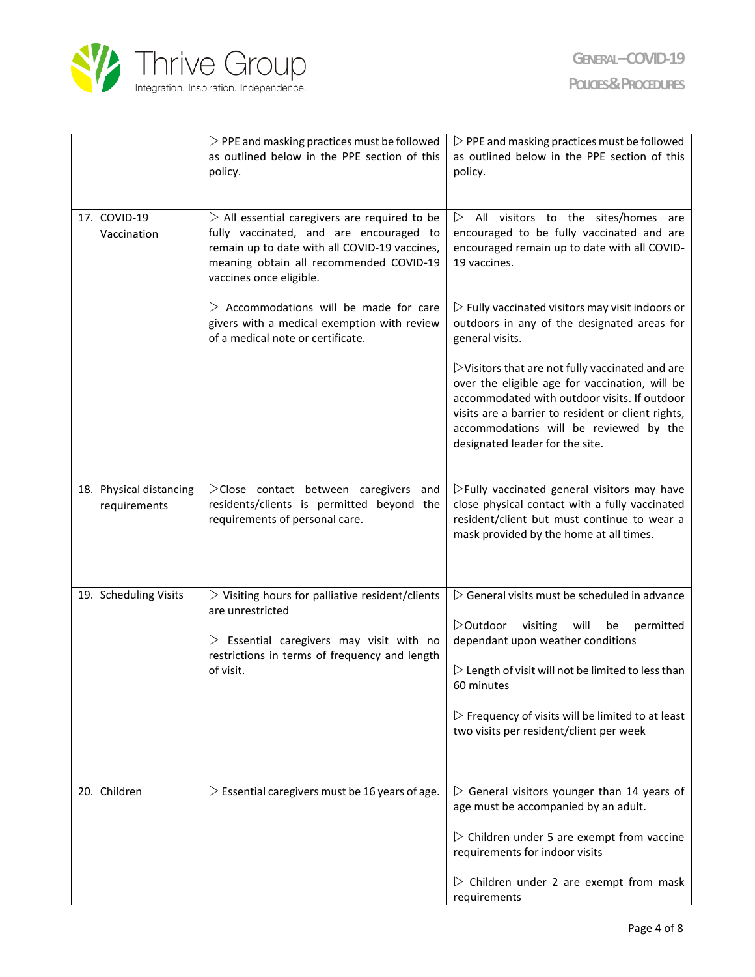

|                                         | $\triangleright$ PPE and masking practices must be followed<br>as outlined below in the PPE section of this<br>policy.                                                                                                         | $\triangleright$ PPE and masking practices must be followed<br>as outlined below in the PPE section of this<br>policy.                                                                                                                                                                                                                                 |
|-----------------------------------------|--------------------------------------------------------------------------------------------------------------------------------------------------------------------------------------------------------------------------------|--------------------------------------------------------------------------------------------------------------------------------------------------------------------------------------------------------------------------------------------------------------------------------------------------------------------------------------------------------|
| 17. COVID-19<br>Vaccination             | $\triangleright$ All essential caregivers are required to be<br>fully vaccinated, and are encouraged to<br>remain up to date with all COVID-19 vaccines,<br>meaning obtain all recommended COVID-19<br>vaccines once eligible. | All visitors to the sites/homes are<br>$\triangleright$<br>encouraged to be fully vaccinated and are<br>encouraged remain up to date with all COVID-<br>19 vaccines.                                                                                                                                                                                   |
|                                         | $\triangleright$ Accommodations will be made for care<br>givers with a medical exemption with review<br>of a medical note or certificate.                                                                                      | $\triangleright$ Fully vaccinated visitors may visit indoors or<br>outdoors in any of the designated areas for<br>general visits.                                                                                                                                                                                                                      |
|                                         |                                                                                                                                                                                                                                | $\triangleright$ Visitors that are not fully vaccinated and are<br>over the eligible age for vaccination, will be<br>accommodated with outdoor visits. If outdoor<br>visits are a barrier to resident or client rights,<br>accommodations will be reviewed by the<br>designated leader for the site.                                                   |
| 18. Physical distancing<br>requirements | $\triangleright$ Close contact between caregivers and<br>residents/clients is permitted beyond the<br>requirements of personal care.                                                                                           | $\triangleright$ Fully vaccinated general visitors may have<br>close physical contact with a fully vaccinated<br>resident/client but must continue to wear a<br>mask provided by the home at all times.                                                                                                                                                |
| 19. Scheduling Visits                   | $\triangleright$ Visiting hours for palliative resident/clients<br>are unrestricted<br>$\triangleright$ Essential caregivers may visit with no<br>restrictions in terms of frequency and length<br>of visit.                   | $\triangleright$ General visits must be scheduled in advance<br>▷Outdoor<br>visiting<br>will<br>permitted<br>be<br>dependant upon weather conditions<br>$\triangleright$ Length of visit will not be limited to less than<br>60 minutes<br>$\triangleright$ Frequency of visits will be limited to at least<br>two visits per resident/client per week |
| 20. Children                            | $\triangleright$ Essential caregivers must be 16 years of age.                                                                                                                                                                 | $\triangleright$ General visitors younger than 14 years of<br>age must be accompanied by an adult.<br>$\triangleright$ Children under 5 are exempt from vaccine<br>requirements for indoor visits<br>$\triangleright$ Children under 2 are exempt from mask<br>requirements                                                                            |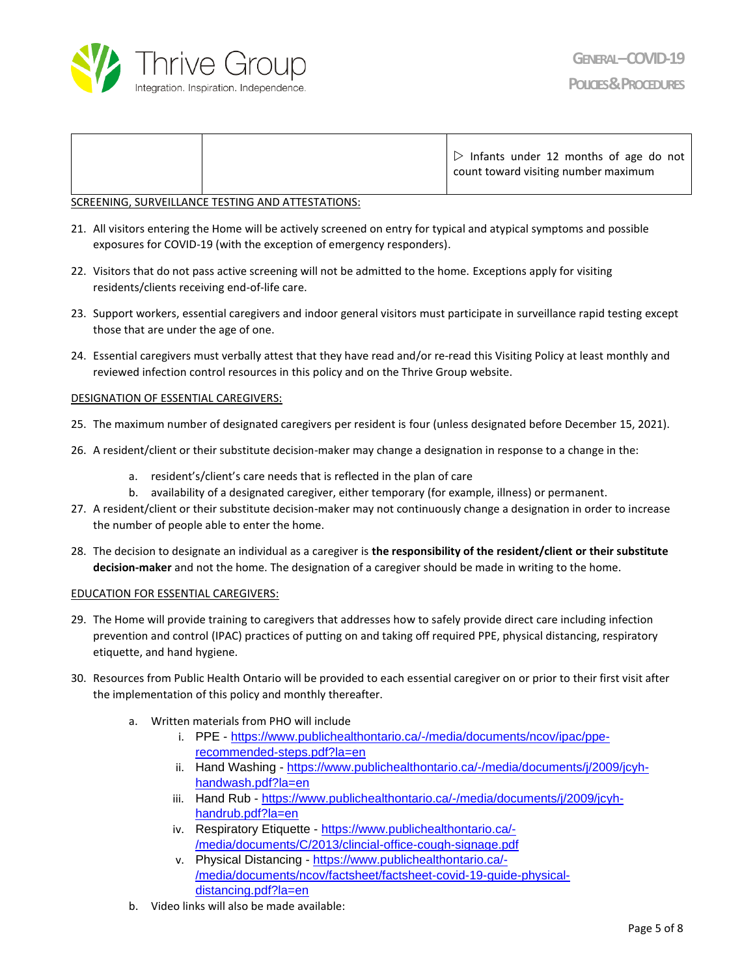

### SCREENING, SURVEILLANCE TESTING AND ATTESTATIONS:

- 21. All visitors entering the Home will be actively screened on entry for typical and atypical symptoms and possible exposures for COVID-19 (with the exception of emergency responders).
- 22. Visitors that do not pass active screening will not be admitted to the home. Exceptions apply for visiting residents/clients receiving end-of-life care.
- 23. Support workers, essential caregivers and indoor general visitors must participate in surveillance rapid testing except those that are under the age of one.
- 24. Essential caregivers must verbally attest that they have read and/or re-read this Visiting Policy at least monthly and reviewed infection control resources in this policy and on the Thrive Group website.

### DESIGNATION OF ESSENTIAL CAREGIVERS:

- 25. The maximum number of designated caregivers per resident is four (unless designated before December 15, 2021).
- 26. A resident/client or their substitute decision-maker may change a designation in response to a change in the:
	- a. resident's/client's care needs that is reflected in the plan of care
	- b. availability of a designated caregiver, either temporary (for example, illness) or permanent.
- 27. A resident/client or their substitute decision-maker may not continuously change a designation in order to increase the number of people able to enter the home.
- 28. The decision to designate an individual as a caregiver is **the responsibility of the resident/client or their substitute decision-maker** and not the home. The designation of a caregiver should be made in writing to the home.

### EDUCATION FOR ESSENTIAL CAREGIVERS:

- 29. The Home will provide training to caregivers that addresses how to safely provide direct care including infection prevention and control (IPAC) practices of putting on and taking off required PPE, physical distancing, respiratory etiquette, and hand hygiene.
- 30. Resources from Public Health Ontario will be provided to each essential caregiver on or prior to their first visit after the implementation of this policy and monthly thereafter.
	- a. Written materials from PHO will include
		- i. PPE [https://www.publichealthontario.ca/-/media/documents/ncov/ipac/ppe](https://www.publichealthontario.ca/-/media/documents/ncov/ipac/ppe-recommended-steps.pdf?la=en)[recommended-steps.pdf?la=en](https://www.publichealthontario.ca/-/media/documents/ncov/ipac/ppe-recommended-steps.pdf?la=en)
		- ii. Hand Washing [https://www.publichealthontario.ca/-/media/documents/j/2009/jcyh](https://www.publichealthontario.ca/-/media/documents/j/2009/jcyh-handwash.pdf?la=en)[handwash.pdf?la=en](https://www.publichealthontario.ca/-/media/documents/j/2009/jcyh-handwash.pdf?la=en)
		- iii. Hand Rub [https://www.publichealthontario.ca/-/media/documents/j/2009/jcyh](https://www.publichealthontario.ca/-/media/documents/j/2009/jcyh-handrub.pdf?la=en)[handrub.pdf?la=en](https://www.publichealthontario.ca/-/media/documents/j/2009/jcyh-handrub.pdf?la=en)
		- iv. Respiratory Etiquette [https://www.publichealthontario.ca/-](https://www.publichealthontario.ca/-/media/documents/C/2013/clincial-office-cough-signage.pdf) [/media/documents/C/2013/clincial-office-cough-signage.pdf](https://www.publichealthontario.ca/-/media/documents/C/2013/clincial-office-cough-signage.pdf)
		- v. Physical Distancing [https://www.publichealthontario.ca/-](https://www.publichealthontario.ca/-/media/documents/ncov/factsheet/factsheet-covid-19-guide-physical-distancing.pdf?la=en) [/media/documents/ncov/factsheet/factsheet-covid-19-guide-physical](https://www.publichealthontario.ca/-/media/documents/ncov/factsheet/factsheet-covid-19-guide-physical-distancing.pdf?la=en)[distancing.pdf?la=en](https://www.publichealthontario.ca/-/media/documents/ncov/factsheet/factsheet-covid-19-guide-physical-distancing.pdf?la=en)
	- b. Video links will also be made available: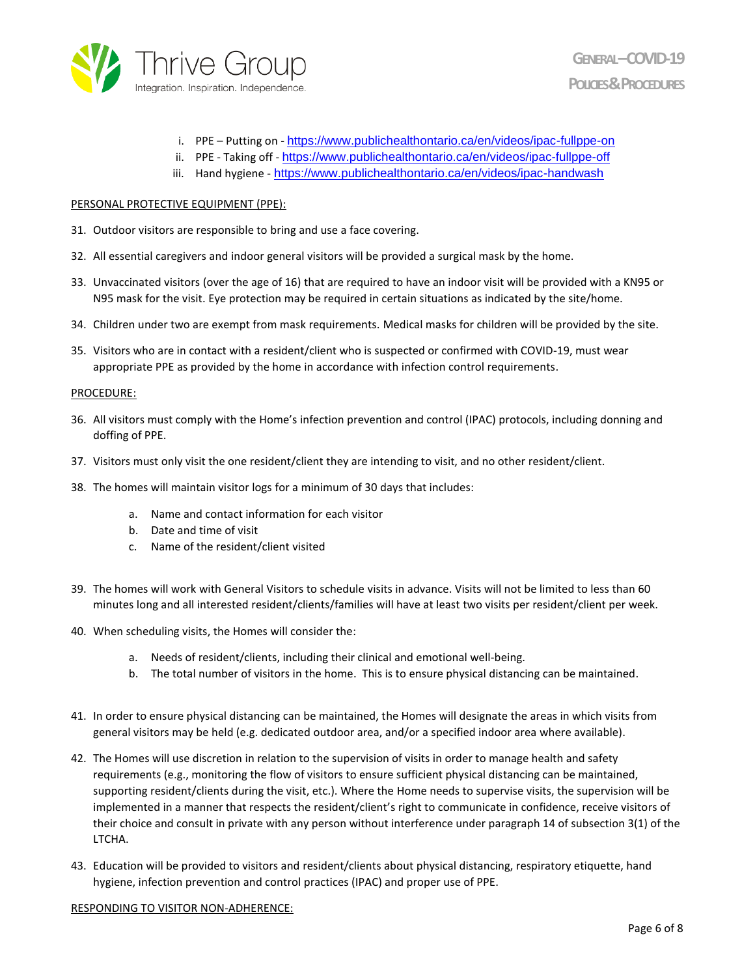

- i. PPE Putting on <https://www.publichealthontario.ca/en/videos/ipac-fullppe-on>
- ii. PPE Taking off <https://www.publichealthontario.ca/en/videos/ipac-fullppe-off>
- iii. Hand hygiene <https://www.publichealthontario.ca/en/videos/ipac-handwash>

#### PERSONAL PROTECTIVE EQUIPMENT (PPE):

- 31. Outdoor visitors are responsible to bring and use a face covering.
- 32. All essential caregivers and indoor general visitors will be provided a surgical mask by the home.
- 33. Unvaccinated visitors (over the age of 16) that are required to have an indoor visit will be provided with a KN95 or N95 mask for the visit. Eye protection may be required in certain situations as indicated by the site/home.
- 34. Children under two are exempt from mask requirements. Medical masks for children will be provided by the site.
- 35. Visitors who are in contact with a resident/client who is suspected or confirmed with COVID-19, must wear appropriate PPE as provided by the home in accordance with infection control requirements.

#### PROCEDURE:

- 36. All visitors must comply with the Home's infection prevention and control (IPAC) protocols, including donning and doffing of PPE.
- 37. Visitors must only visit the one resident/client they are intending to visit, and no other resident/client.
- 38. The homes will maintain visitor logs for a minimum of 30 days that includes:
	- a. Name and contact information for each visitor
	- b. Date and time of visit
	- c. Name of the resident/client visited
- 39. The homes will work with General Visitors to schedule visits in advance. Visits will not be limited to less than 60 minutes long and all interested resident/clients/families will have at least two visits per resident/client per week.
- 40. When scheduling visits, the Homes will consider the:
	- a. Needs of resident/clients, including their clinical and emotional well-being.
	- b. The total number of visitors in the home. This is to ensure physical distancing can be maintained.
- 41. In order to ensure physical distancing can be maintained, the Homes will designate the areas in which visits from general visitors may be held (e.g. dedicated outdoor area, and/or a specified indoor area where available).
- 42. The Homes will use discretion in relation to the supervision of visits in order to manage health and safety requirements (e.g., monitoring the flow of visitors to ensure sufficient physical distancing can be maintained, supporting resident/clients during the visit, etc.). Where the Home needs to supervise visits, the supervision will be implemented in a manner that respects the resident/client's right to communicate in confidence, receive visitors of their choice and consult in private with any person without interference under paragraph 14 of subsection 3(1) of the LTCHA.
- 43. Education will be provided to visitors and resident/clients about physical distancing, respiratory etiquette, hand hygiene, infection prevention and control practices (IPAC) and proper use of PPE.

### RESPONDING TO VISITOR NON-ADHERENCE: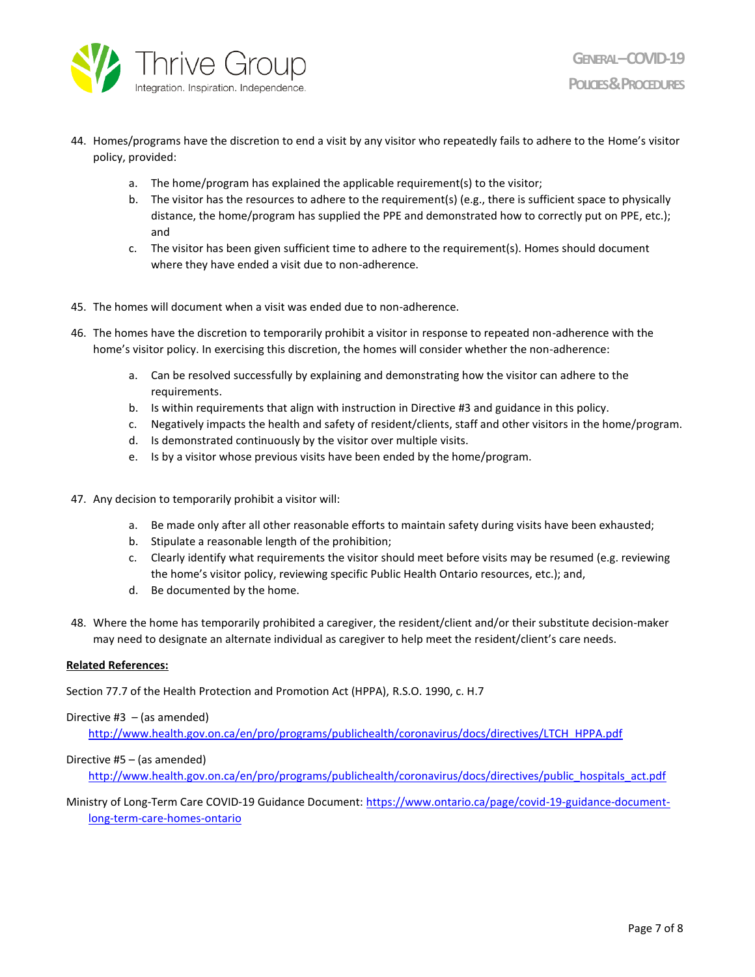

- 44. Homes/programs have the discretion to end a visit by any visitor who repeatedly fails to adhere to the Home's visitor policy, provided:
	- a. The home/program has explained the applicable requirement(s) to the visitor;
	- b. The visitor has the resources to adhere to the requirement(s) (e.g., there is sufficient space to physically distance, the home/program has supplied the PPE and demonstrated how to correctly put on PPE, etc.); and
	- c. The visitor has been given sufficient time to adhere to the requirement(s). Homes should document where they have ended a visit due to non-adherence.
- 45. The homes will document when a visit was ended due to non-adherence.
- 46. The homes have the discretion to temporarily prohibit a visitor in response to repeated non-adherence with the home's visitor policy. In exercising this discretion, the homes will consider whether the non-adherence:
	- a. Can be resolved successfully by explaining and demonstrating how the visitor can adhere to the requirements.
	- b. Is within requirements that align with instruction in Directive #3 and guidance in this policy.
	- c. Negatively impacts the health and safety of resident/clients, staff and other visitors in the home/program.
	- d. Is demonstrated continuously by the visitor over multiple visits.
	- e. Is by a visitor whose previous visits have been ended by the home/program.
- 47. Any decision to temporarily prohibit a visitor will:
	- a. Be made only after all other reasonable efforts to maintain safety during visits have been exhausted;
	- b. Stipulate a reasonable length of the prohibition;
	- c. Clearly identify what requirements the visitor should meet before visits may be resumed (e.g. reviewing the home's visitor policy, reviewing specific Public Health Ontario resources, etc.); and,
	- d. Be documented by the home.
- 48. Where the home has temporarily prohibited a caregiver, the resident/client and/or their substitute decision-maker may need to designate an alternate individual as caregiver to help meet the resident/client's care needs.

### **Related References:**

Section 77.7 of the Health Protection and Promotion Act (HPPA), R.S.O. 1990, c. H.7

### Directive  $#3 - (as amended)$

[http://www.health.gov.on.ca/en/pro/programs/publichealth/coronavirus/docs/directives/LTCH\\_HPPA.pdf](http://www.health.gov.on.ca/en/pro/programs/publichealth/coronavirus/docs/directives/LTCH_HPPA.pdf)

### Directive #5 – (as amended)

[http://www.health.gov.on.ca/en/pro/programs/publichealth/coronavirus/docs/directives/public\\_hospitals\\_act.pdf](http://www.health.gov.on.ca/en/pro/programs/publichealth/coronavirus/docs/directives/public_hospitals_act.pdf)

Ministry of Long-Term Care COVID-19 Guidance Document: [https://www.ontario.ca/page/covid-19-guidance-document](https://www.ontario.ca/page/covid-19-guidance-document-long-term-care-homes-ontario)[long-term-care-homes-ontario](https://www.ontario.ca/page/covid-19-guidance-document-long-term-care-homes-ontario)